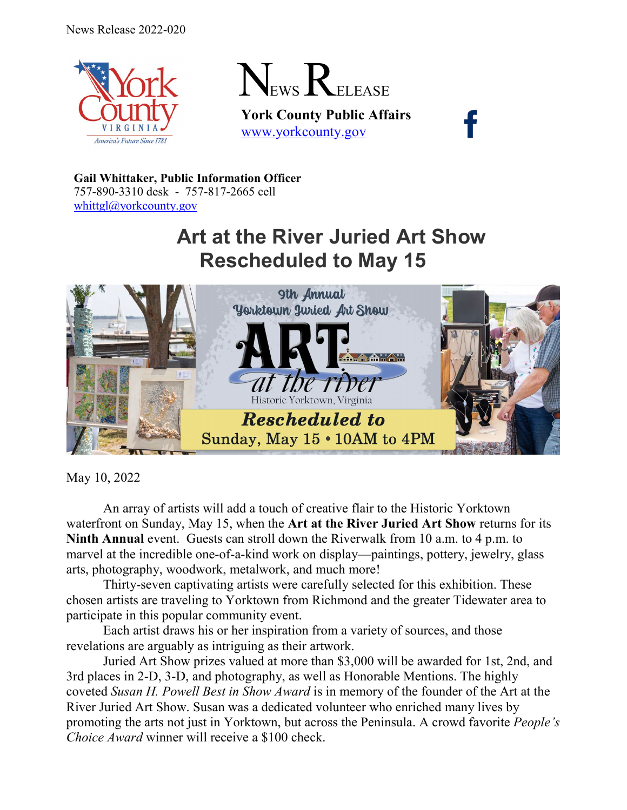



**York County Public Affairs** [www.yorkcounty.gov](http://www.yorkcounty.gov/)

**Gail Whittaker, Public Information Officer** 757-890-3310 desk - 757-817-2665 cell [whittgl@yorkcounty.gov](mailto:whittgl@yorkcounty.gov)

## **Art at the River Juried Art Show Rescheduled to May 15**



May 10, 2022

An array of artists will add a touch of creative flair to the Historic Yorktown waterfront on Sunday, May 15, when the **Art at the River Juried Art Show** returns for its **Ninth Annual** event. Guests can stroll down the Riverwalk from 10 a.m. to 4 p.m. to marvel at the incredible one-of-a-kind work on display—paintings, pottery, jewelry, glass arts, photography, woodwork, metalwork, and much more!

Thirty-seven captivating artists were carefully selected for this exhibition. These chosen artists are traveling to Yorktown from Richmond and the greater Tidewater area to participate in this popular community event.

Each artist draws his or her inspiration from a variety of sources, and those revelations are arguably as intriguing as their artwork.

Juried Art Show prizes valued at more than \$3,000 will be awarded for 1st, 2nd, and 3rd places in 2-D, 3-D, and photography, as well as Honorable Mentions. The highly coveted *Susan H. Powell Best in Show Award* is in memory of the founder of the Art at the River Juried Art Show. Susan was a dedicated volunteer who enriched many lives by promoting the arts not just in Yorktown, but across the Peninsula. A crowd favorite *People's Choice Award* winner will receive a \$100 check.